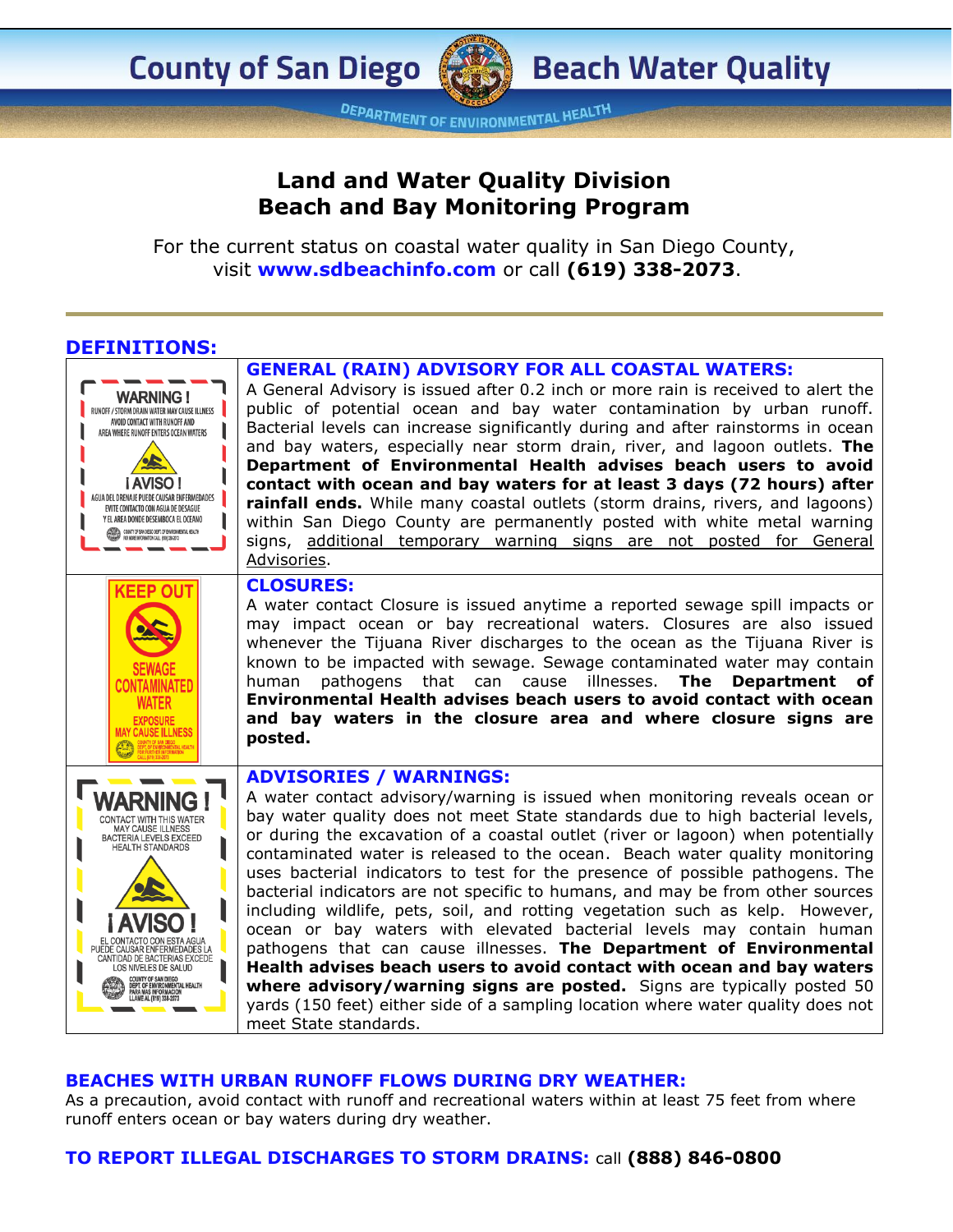**County of San Diego** 

**DEPARTMENT OF ENVIRONMENTAL HEALTH** 

# **Land and Water Quality Division Beach and Bay Monitoring Program**

For the current status on coastal water quality in San Diego County, visit **[www.sdbeachinfo.com](http://www.sdbeachinfo.com/)** or call **(619) 338-2073**.

## **DEFINITIONS:**

### **GENERAL (RAIN) ADVISORY FOR ALL COASTAL WATERS:**

A General Advisory is issued after 0.2 inch or more rain is received to alert the **WARNING!** public of potential ocean and bay water contamination by urban runoff. RUNOFF / STORM DRAIN WATER MAY CAUSE ILLNESS AVOID CONTACT WITH RUNOFF AND Bacterial levels can increase significantly during and after rainstorms in ocean AREA WHERE RUNOFF ENTERS OCEAN WATERS and bay waters, especially near storm drain, river, and lagoon outlets. **The Department of Environmental Health advises beach users to avoid**  i AVISO! **contact with ocean and bay waters for at least 3 days (72 hours) after**  AGUA DEL DRENAJE PUEDE CAUSAR ENFERMEDADES **rainfall ends.** While many coastal outlets (storm drains, rivers, and lagoons) EVITE CONTACTO CON AGUA DE DESAGUE Y EL AREA DONDE DESEMBOCA EL OCEANO within San Diego County are permanently posted with white metal warning **AND AN AN OUNTY OF SAN DIEGO DEPT. OF ENVIRONMENTAL HEALTH**<br>Realism<sup>ent</sup> for More Neorination Call (\$19) 338-2073 signs, additional temporary warning signs are not posted for General Advisories. **CLOSURES: KEEP OUT** A water contact Closure is issued anytime a reported sewage spill impacts or may impact ocean or bay recreational waters. Closures are also issued whenever the Tijuana River discharges to the ocean as the Tijuana River is known to be impacted with sewage. Sewage contaminated water may contain human pathogens that can cause illnesses. **The Department of CONTAMINATED Environmental Health advises beach users to avoid contact with ocean WATER and bay waters in the closure area and where closure signs are EXPOSITE MAY CAUSE ILLNESS posted. ADVISORIES / WARNINGS: WARNING!** A water contact advisory/warning is issued when monitoring reveals ocean or bay water quality does not meet State standards due to high bacterial levels, CONTACT WITH THIS WATER MAY CAUSE ILLNESS or during the excavation of a coastal outlet (river or lagoon) when potentially BACTERIA LEVELS EXCEED<br>HEALTH STANDARDS contaminated water is released to the ocean. Beach water quality monitoring uses bacterial indicators to test for the presence of possible pathogens. The bacterial indicators are not specific to humans, and may be from other sources including wildlife, pets, soil, and rotting vegetation such as kelp. However, ocean or bay waters with elevated bacterial levels may contain human EL CONTACTO CON ESTA AGUA<br>JEDE CAUSAR ENFERMEDADES LA<br>CANTIDAD DE BACTERIAS EXCEDE pathogens that can cause illnesses. **The Department of Environmental Health advises beach users to avoid contact with ocean and bay waters**  LOS NIVELES DE SALUD COUNTY OF SAN DIEGO<br>DEPT. OF ENVIRONMENTAL HEALTH **where advisory/warning signs are posted.** Signs are typically posted 50 yards (150 feet) either side of a sampling location where water quality does not meet State standards.

### **BEACHES WITH URBAN RUNOFF FLOWS DURING DRY WEATHER:**

As a precaution, avoid contact with runoff and recreational waters within at least 75 feet from where runoff enters ocean or bay waters during dry weather.

### **TO REPORT ILLEGAL DISCHARGES TO STORM DRAINS:** call **(888) 846-0800**